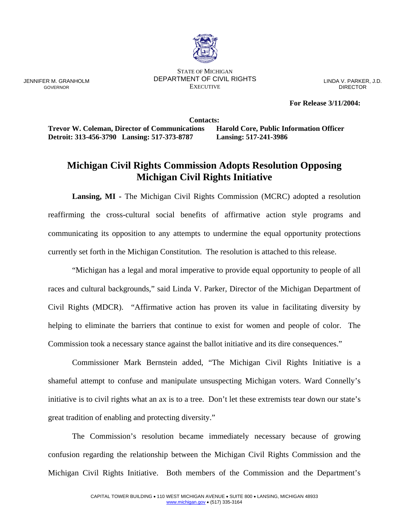

STATE OF MICHIGAN DEPARTMENT OF CIVIL RIGHTS **EXECUTIVE** 

LINDA V. PARKER, J.D. DIRECTOR

**For Release 3/11/2004:** 

**Contacts: Trevor W. Coleman, Director of Communications Harold Core, Public Information Officer Detroit: 313-456-3790 Lansing: 517-373-8787 Lansing: 517-241-3986** 

## **Michigan Civil Rights Commission Adopts Resolution Opposing Michigan Civil Rights Initiative**

 **Lansing, MI -** The Michigan Civil Rights Commission (MCRC) adopted a resolution reaffirming the cross-cultural social benefits of affirmative action style programs and communicating its opposition to any attempts to undermine the equal opportunity protections currently set forth in the Michigan Constitution. The resolution is attached to this release.

 "Michigan has a legal and moral imperative to provide equal opportunity to people of all races and cultural backgrounds," said Linda V. Parker, Director of the Michigan Department of Civil Rights (MDCR). "Affirmative action has proven its value in facilitating diversity by helping to eliminate the barriers that continue to exist for women and people of color. The Commission took a necessary stance against the ballot initiative and its dire consequences."

 Commissioner Mark Bernstein added, "The Michigan Civil Rights Initiative is a shameful attempt to confuse and manipulate unsuspecting Michigan voters. Ward Connelly's initiative is to civil rights what an ax is to a tree. Don't let these extremists tear down our state's great tradition of enabling and protecting diversity."

 The Commission's resolution became immediately necessary because of growing confusion regarding the relationship between the Michigan Civil Rights Commission and the Michigan Civil Rights Initiative. Both members of the Commission and the Department's

JENNIFER M. GRANHOLM GOVERNOR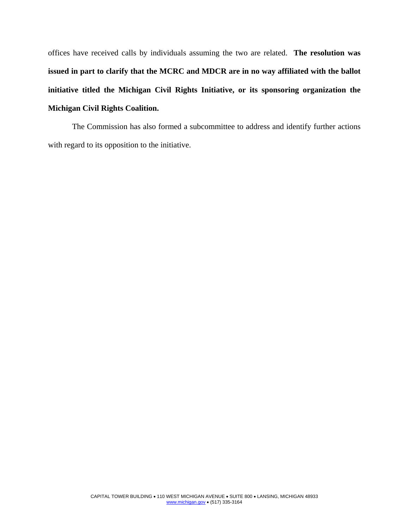offices have received calls by individuals assuming the two are related. **The resolution was issued in part to clarify that the MCRC and MDCR are in no way affiliated with the ballot initiative titled the Michigan Civil Rights Initiative, or its sponsoring organization the Michigan Civil Rights Coalition.**

 The Commission has also formed a subcommittee to address and identify further actions with regard to its opposition to the initiative.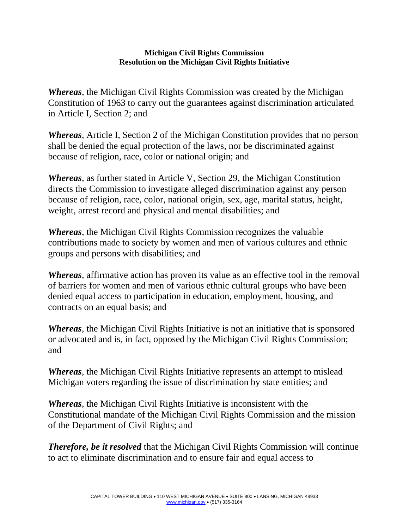## **Michigan Civil Rights Commission Resolution on the Michigan Civil Rights Initiative**

*Whereas*, the Michigan Civil Rights Commission was created by the Michigan Constitution of 1963 to carry out the guarantees against discrimination articulated in Article I, Section 2; and

*Whereas*, Article I, Section 2 of the Michigan Constitution provides that no person shall be denied the equal protection of the laws, nor be discriminated against because of religion, race, color or national origin; and

*Whereas*, as further stated in Article V, Section 29, the Michigan Constitution directs the Commission to investigate alleged discrimination against any person because of religion, race, color, national origin, sex, age, marital status, height, weight, arrest record and physical and mental disabilities; and

*Whereas*, the Michigan Civil Rights Commission recognizes the valuable contributions made to society by women and men of various cultures and ethnic groups and persons with disabilities; and

*Whereas*, affirmative action has proven its value as an effective tool in the removal of barriers for women and men of various ethnic cultural groups who have been denied equal access to participation in education, employment, housing, and contracts on an equal basis; and

*Whereas*, the Michigan Civil Rights Initiative is not an initiative that is sponsored or advocated and is, in fact, opposed by the Michigan Civil Rights Commission; and

*Whereas*, the Michigan Civil Rights Initiative represents an attempt to mislead Michigan voters regarding the issue of discrimination by state entities; and

*Whereas*, the Michigan Civil Rights Initiative is inconsistent with the Constitutional mandate of the Michigan Civil Rights Commission and the mission of the Department of Civil Rights; and

*Therefore, be it resolved* that the Michigan Civil Rights Commission will continue to act to eliminate discrimination and to ensure fair and equal access to